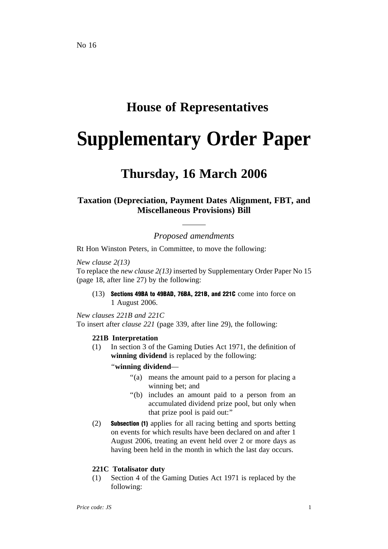## **House of Representatives**

# **Supplementary Order Paper**

## **Thursday, 16 March 2006**

### **Taxation (Depreciation, Payment Dates Alignment, FBT, and Miscellaneous Provisions) Bill**

*Proposed amendments*

Rt Hon Winston Peters, in Committee, to move the following:

*New clause 2(13)*

To replace the *new clause 2(13)* inserted by Supplementary Order Paper No 15 (page 18, after line 27) by the following:

(13) Sections 49BA to 49BAD, 76BA, 221B, and 221C come into force on 1 August 2006.

*New clauses 221B and 221C* To insert after *clause 221* (page 339, after line 29), the following:

#### **221B Interpretation**

(1) In section 3 of the Gaming Duties Act 1971, the definition of **winning dividend** is replaced by the following:

''**winning dividend**—

- ''(a) means the amount paid to a person for placing a winning bet; and
- ''(b) includes an amount paid to a person from an accumulated dividend prize pool, but only when that prize pool is paid out:''
- (2) Subsection (1) applies for all racing betting and sports betting on events for which results have been declared on and after 1 August 2006, treating an event held over 2 or more days as having been held in the month in which the last day occurs.

#### **221C Totalisator duty**

(1) Section 4 of the Gaming Duties Act 1971 is replaced by the following: